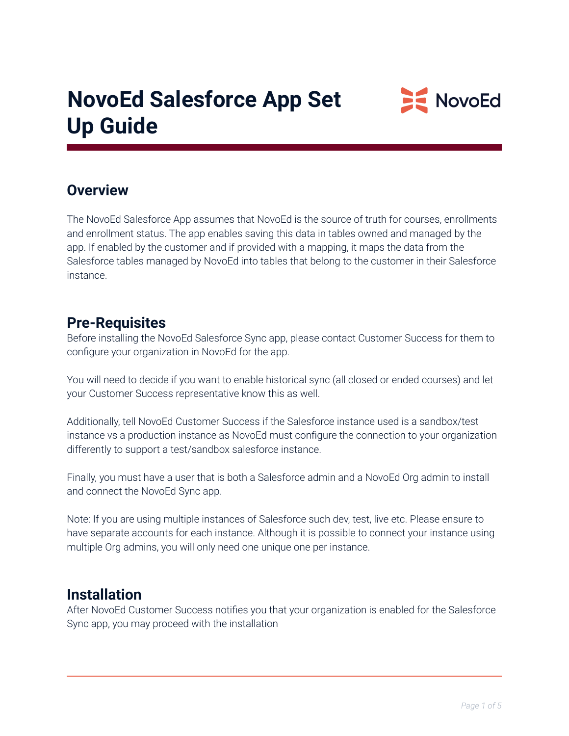

### **Overview**

The NovoEd Salesforce App assumes that NovoEd is the source of truth for courses, enrollments and enrollment status. The app enables saving this data in tables owned and managed by the app. If enabled by the customer and if provided with a mapping, it maps the data from the Salesforce tables managed by NovoEd into tables that belong to the customer in their Salesforce instance.

#### **Pre-Requisites**

Before installing the NovoEd Salesforce Sync app, please contact Customer Success for them to configure your organization in NovoEd for the app.

You will need to decide if you want to enable historical sync (all closed or ended courses) and let your Customer Success representative know this as well.

Additionally, tell NovoEd Customer Success if the Salesforce instance used is a sandbox/test instance vs a production instance as NovoEd must configure the connection to your organization differently to support a test/sandbox salesforce instance.

Finally, you must have a user that is both a Salesforce admin and a NovoEd Org admin to install and connect the NovoEd Sync app.

Note: If you are using multiple instances of Salesforce such dev, test, live etc. Please ensure to have separate accounts for each instance. Although it is possible to connect your instance using multiple Org admins, you will only need one unique one per instance.

#### **Installation**

After NovoEd Customer Success notifies you that your organization is enabled for the Salesforce Sync app, you may proceed with the installation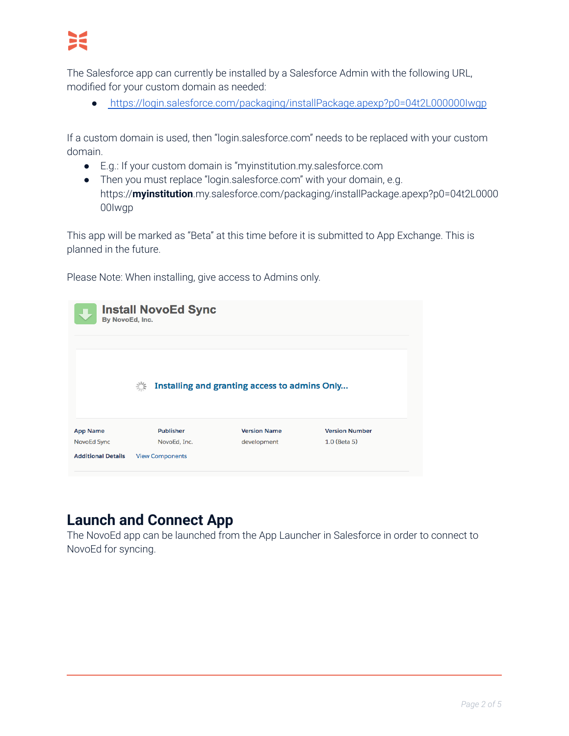

The Salesforce app can currently be installed by a Salesforce Admin with the following URL, modified for your custom domain as needed:

● <https://login.salesforce.com/packaging/installPackage.apexp?p0=04t2L000000Iwgp>

If a custom domain is used, then "login.salesforce.com" needs to be replaced with your custom domain.

- E.g.: If your custom domain is "myinstitution.my.salesforce.com
- Then you must replace "login.salesforce.com" with your domain, e.g. https://**myinstitution**.my.salesforce.com/packaging/installPackage.apexp?p0=04t2L0000 00Iwgp

This app will be marked as "Beta" at this time before it is submitted to App Exchange. This is planned in the future.

Please Note: When installing, give access to Admins only.

| <b>Install NovoEd Sync</b><br>By NovoEd, Inc. |                                                                              |                     |                       |  |  |  |  |  |  |  |
|-----------------------------------------------|------------------------------------------------------------------------------|---------------------|-----------------------|--|--|--|--|--|--|--|
|                                               | $\frac{1}{2}$ $\frac{1}{2}$<br>Installing and granting access to admins Only |                     |                       |  |  |  |  |  |  |  |
| <b>App Name</b>                               | <b>Publisher</b>                                                             | <b>Version Name</b> | <b>Version Number</b> |  |  |  |  |  |  |  |
| NovoEd Sync                                   | NovoEd, Inc.                                                                 | development         | $1.0$ (Beta 5)        |  |  |  |  |  |  |  |
|                                               |                                                                              |                     |                       |  |  |  |  |  |  |  |

## **Launch and Connect App**

The NovoEd app can be launched from the App Launcher in Salesforce in order to connect to NovoEd for syncing.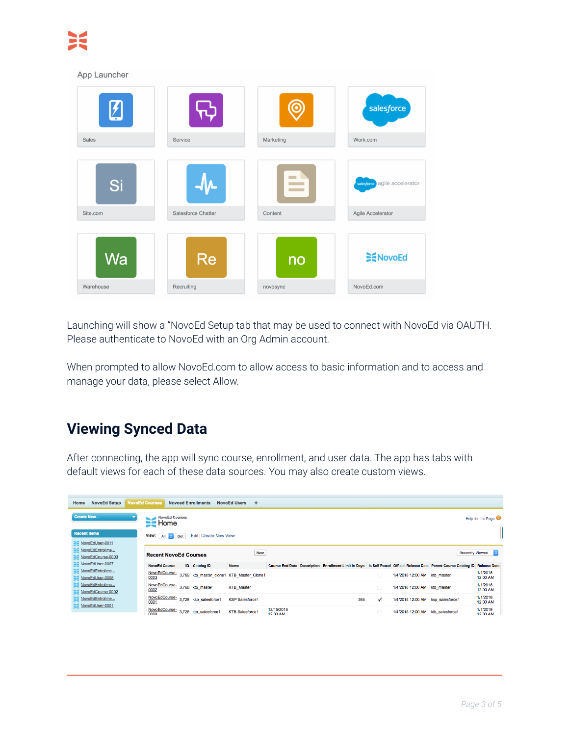#### App Launcher (ම salesforce Sales Service Marketing Work.com Si agile accelerator Site.com Salesforce Chatter Content Agile Accelerator Wa **E**NovoEd Re no NovoEd.com Warehouse Recruiting novosync

Launching will show a "NovoEd Setup tab that may be used to connect with NovoEd via OAUTH. Please authenticate to NovoEd with an Org Admin account.

When prompted to allow NovoEd.com to allow access to basic information and to access and manage your data, please select Allow.

# **Viewing Synced Data**

After connecting, the app will sync course, enrollment, and user data. The app has tabs with default views for each of these data sources. You may also create custom views.

| Home | <b>NovoEd Setup</b>                                                               | <b>NovoEd Courses</b> |                              | <b>Novoed Enrollments</b>           | <b>NovoEd Users</b>                       | ÷          |                        |  |                                                                                                                                |              |                                   |  |                                     |
|------|-----------------------------------------------------------------------------------|-----------------------|------------------------------|-------------------------------------|-------------------------------------------|------------|------------------------|--|--------------------------------------------------------------------------------------------------------------------------------|--------------|-----------------------------------|--|-------------------------------------|
|      | <b>Create New</b><br><b>NovoEd Courses</b><br>Help for this Page<br>$\equiv$ Home |                       |                              |                                     |                                           |            |                        |  |                                                                                                                                |              |                                   |  |                                     |
|      | <b>Recent Items</b>                                                               | View: All C           | Go!                          | Edit   Create New View              |                                           |            |                        |  |                                                                                                                                |              |                                   |  |                                     |
|      | NovoEdUser-0011<br>NovoEdEntrollme<br>NovoEdCourse-0003                           |                       | <b>Recent NovoEd Courses</b> |                                     |                                           | <b>New</b> |                        |  |                                                                                                                                |              |                                   |  | <b>Recently Viewed</b><br><b>IC</b> |
|      | NovoEdUser-0007                                                                   | <b>NovoEd Course</b>  |                              | <b>ID</b> Catalog ID                | <b>Name</b>                               |            |                        |  | Course End Date Description Enrollment Limit In Days Is Self Paced Official Release Date Parent Course Catalog ID Release Date |              |                                   |  |                                     |
|      | NovoEdEntrollme<br>NovoEdUser-0008                                                | NovoEdCourse-<br>0003 |                              |                                     | 3,769 ktb master_clone1 KTB_Master_Clone1 |            |                        |  |                                                                                                                                |              | 1/4/2018 12:00 AM ktb master      |  | 1/1/2018<br>12:00 AM                |
|      | NovoEdEntrollme<br>NovoEdCourse-0002                                              | 0002                  |                              | NovoEdCourse-<br>3,768 ktb_master   | <b>KTB</b> Master                         |            |                        |  |                                                                                                                                | n            | 1/4/2018 12:00 AM ktb master      |  | 1/1/2018<br>12:00 AM                |
|      | NovoEdEntrollme<br>NovoEdUser-0001                                                | 0001                  |                              | NovoEdCourse- 3,728 ksp_salesforce1 | <b>KSP Salesforce1</b>                    |            |                        |  | 365                                                                                                                            | $\checkmark$ | 1/4/2018 12:00 AM ksp salesforce1 |  | 1/1/2018<br>12:00 AM                |
|      |                                                                                   | NovoEdCourse-<br>nono |                              | 3,726 ktb_salesforce1               | <b>KTB Salesforce1</b>                    |            | 12/15/2018<br>12:00 AM |  |                                                                                                                                |              | 1/4/2018 12:00 AM ktb salesforce1 |  | 1/1/2018<br>12:00 AM                |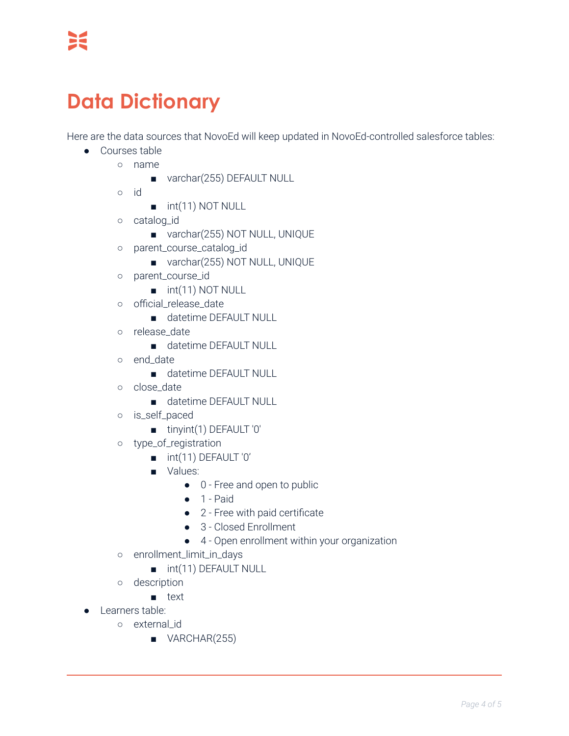# **Data Dictionary**

Here are the data sources that NovoEd will keep updated in NovoEd-controlled salesforce tables:

- Courses table
	- name
		- varchar(255) DEFAULT NULL
		- id
- int(11) NOT NULL
- catalog\_id
	- varchar(255) NOT NULL, UNIQUE
- parent\_course\_catalog\_id
	- varchar(255) NOT NULL, UNIQUE
- parent\_course\_id
	- int(11) NOT NULL
- o official release date
	- datetime DEFAULT NULL
- release\_date
	- datetime DEFAULT NULL
- end\_date
	- datetime DEFAULT NULL
- o close date
	- datetime DEFAULT NULL
- is\_self\_paced
	- tinyint(1) DEFAULT '0'
- type\_of\_registration
	- int(11) DEFAULT '0'
	- Values:
		- 0 Free and open to public
		- $\bullet$  1 Paid
		- 2 Free with paid certificate
		- 3 Closed Enrollment
		- 4 Open enrollment within your organization
- enrollment\_limit\_in\_days
	- int(11) DEFAULT NULL
- description
	- text
- Learners table:
	- external\_id
		- VARCHAR(255)